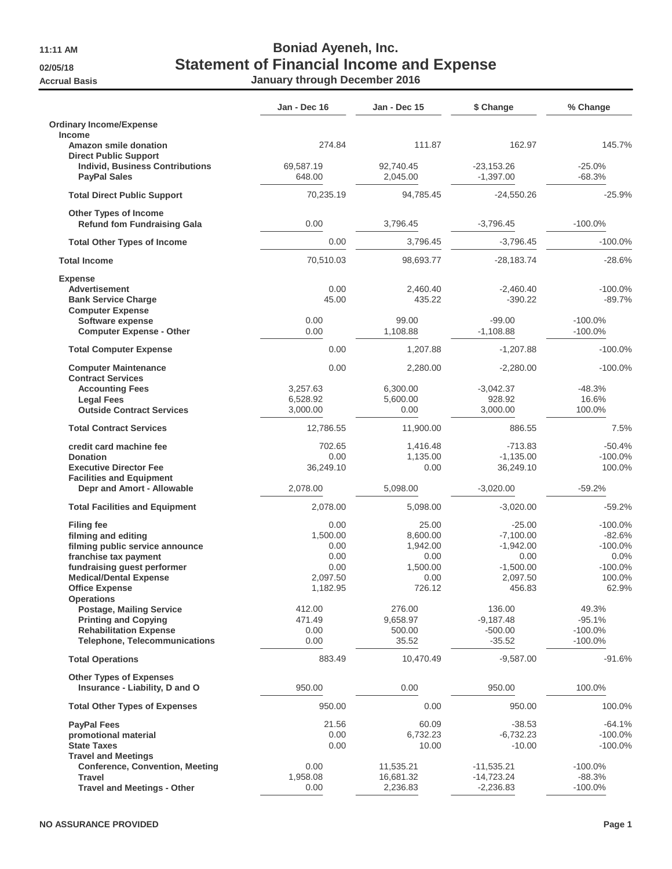## **11:11 AM Boniad Ayeneh, Inc. 02/05/18 Statement of Financial Income and Expense Accrual Basis January through December 2016**

|                                                                                                                                                                                                                    | Jan - Dec 16                                                     | <b>Jan - Dec 15</b>                                                 | \$ Change                                                                           | % Change                                                                      |
|--------------------------------------------------------------------------------------------------------------------------------------------------------------------------------------------------------------------|------------------------------------------------------------------|---------------------------------------------------------------------|-------------------------------------------------------------------------------------|-------------------------------------------------------------------------------|
| <b>Ordinary Income/Expense</b>                                                                                                                                                                                     |                                                                  |                                                                     |                                                                                     |                                                                               |
| Income<br><b>Amazon smile donation</b><br><b>Direct Public Support</b>                                                                                                                                             | 274.84                                                           | 111.87                                                              | 162.97                                                                              | 145.7%                                                                        |
| <b>Individ, Business Contributions</b><br><b>PayPal Sales</b>                                                                                                                                                      | 69,587.19<br>648.00                                              | 92,740.45<br>2,045.00                                               | $-23,153.26$<br>$-1,397.00$                                                         | $-25.0%$<br>$-68.3%$                                                          |
| <b>Total Direct Public Support</b>                                                                                                                                                                                 | 70,235.19                                                        | 94,785.45                                                           | -24,550.26                                                                          | $-25.9%$                                                                      |
| <b>Other Types of Income</b><br><b>Refund fom Fundraising Gala</b>                                                                                                                                                 | 0.00                                                             | 3,796.45                                                            | $-3,796.45$                                                                         | $-100.0\%$                                                                    |
| <b>Total Other Types of Income</b>                                                                                                                                                                                 | 0.00                                                             | 3.796.45                                                            | $-3,796.45$                                                                         | $-100.0\%$                                                                    |
| <b>Total Income</b>                                                                                                                                                                                                | 70,510.03                                                        | 98,693.77                                                           | -28,183.74                                                                          | $-28.6%$                                                                      |
| <b>Expense</b>                                                                                                                                                                                                     |                                                                  |                                                                     |                                                                                     |                                                                               |
| Advertisement<br><b>Bank Service Charge</b><br><b>Computer Expense</b>                                                                                                                                             | 0.00<br>45.00                                                    | 2,460.40<br>435.22                                                  | $-2,460.40$<br>$-390.22$                                                            | $-100.0\%$<br>$-89.7%$                                                        |
| Software expense<br><b>Computer Expense - Other</b>                                                                                                                                                                | 0.00<br>0.00                                                     | 99.00<br>1,108.88                                                   | $-99.00$<br>$-1,108.88$                                                             | $-100.0\%$<br>$-100.0\%$                                                      |
| <b>Total Computer Expense</b>                                                                                                                                                                                      | 0.00                                                             | 1.207.88                                                            | $-1,207.88$                                                                         | $-100.0\%$                                                                    |
| <b>Computer Maintenance</b><br><b>Contract Services</b>                                                                                                                                                            | 0.00                                                             | 2.280.00                                                            | $-2,280.00$                                                                         | $-100.0\%$                                                                    |
| <b>Accounting Fees</b><br><b>Legal Fees</b><br><b>Outside Contract Services</b>                                                                                                                                    | 3,257.63<br>6,528.92<br>3,000.00                                 | 6.300.00<br>5,600.00<br>0.00                                        | $-3,042.37$<br>928.92<br>3.000.00                                                   | $-48.3%$<br>16.6%<br>100.0%                                                   |
| <b>Total Contract Services</b>                                                                                                                                                                                     | 12,786.55                                                        | 11,900.00                                                           | 886.55                                                                              | 7.5%                                                                          |
| credit card machine fee<br><b>Donation</b><br><b>Executive Director Fee</b>                                                                                                                                        | 702.65<br>0.00<br>36,249.10                                      | 1,416.48<br>1,135.00<br>0.00                                        | $-713.83$<br>$-1,135.00$<br>36,249.10                                               | $-50.4%$<br>$-100.0\%$<br>100.0%                                              |
| <b>Facilities and Equipment</b><br>Depr and Amort - Allowable                                                                                                                                                      | 2,078.00                                                         | 5,098.00                                                            | $-3,020.00$                                                                         | $-59.2%$                                                                      |
| <b>Total Facilities and Equipment</b>                                                                                                                                                                              | 2,078.00                                                         | 5,098.00                                                            | $-3,020.00$                                                                         | $-59.2%$                                                                      |
| <b>Filing fee</b><br>filming and editing<br>filming public service announce<br>franchise tax payment<br>fundraising guest performer<br><b>Medical/Dental Expense</b><br><b>Office Expense</b><br><b>Operations</b> | 0.00<br>1,500.00<br>0.00<br>0.00<br>0.00<br>2,097.50<br>1,182.95 | 25.00<br>8.600.00<br>1,942.00<br>0.00<br>1,500.00<br>0.00<br>726.12 | $-25.00$<br>$-7.100.00$<br>$-1,942.00$<br>0.00<br>$-1,500.00$<br>2,097.50<br>456.83 | $-100.0\%$<br>$-82.6%$<br>$-100.0\%$<br>0.0%<br>$-100.0\%$<br>100.0%<br>62.9% |
| <b>Postage, Mailing Service</b><br><b>Printing and Copying</b><br><b>Rehabilitation Expense</b><br><b>Telephone, Telecommunications</b>                                                                            | 412.00<br>471.49<br>0.00<br>0.00                                 | 276.00<br>9,658.97<br>500.00<br>35.52                               | 136.00<br>$-9,187.48$<br>$-500.00$<br>$-35.52$                                      | 49.3%<br>$-95.1%$<br>$-100.0\%$<br>$-100.0%$                                  |
| <b>Total Operations</b>                                                                                                                                                                                            | 883.49                                                           | 10,470.49                                                           | $-9,587.00$                                                                         | $-91.6%$                                                                      |
| <b>Other Types of Expenses</b><br>Insurance - Liability, D and O                                                                                                                                                   | 950.00                                                           | 0.00                                                                | 950.00                                                                              | 100.0%                                                                        |
| <b>Total Other Types of Expenses</b>                                                                                                                                                                               | 950.00                                                           | 0.00                                                                | 950.00                                                                              | 100.0%                                                                        |
| <b>PavPal Fees</b><br>promotional material<br><b>State Taxes</b><br><b>Travel and Meetings</b>                                                                                                                     | 21.56<br>0.00<br>0.00                                            | 60.09<br>6,732.23<br>10.00                                          | $-38.53$<br>$-6,732.23$<br>$-10.00$                                                 | $-64.1%$<br>$-100.0\%$<br>$-100.0\%$                                          |
| <b>Conference, Convention, Meeting</b><br><b>Travel</b><br><b>Travel and Meetings - Other</b>                                                                                                                      | 0.00<br>1,958.08<br>0.00                                         | 11,535.21<br>16,681.32<br>2,236.83                                  | $-11,535.21$<br>$-14,723.24$<br>$-2,236.83$                                         | $-100.0\%$<br>$-88.3%$<br>$-100.0%$                                           |